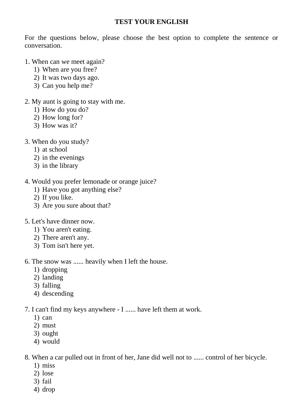### **TEST YOUR ENGLISH**

For the questions below, please choose the best option to complete the sentence or conversation.

- 1. When can we meet again?
	- 1) When are you free?
	- 2) It was two days ago.
	- 3) Can you help me?
- 2. My aunt is going to stay with me.
	- 1) How do you do?
	- 2) How long for?
	- 3) How was it?
- 3. When do you study?
	- 1) at school
	- 2) in the evenings
	- 3) in the library
- 4. Would you prefer lemonade or orange juice?
	- 1) Have you got anything else?
	- 2) If you like.
	- 3) Are you sure about that?
- 5. Let's have dinner now.
	- 1) You aren't eating.
	- 2) There aren't any.
	- 3) Tom isn't here yet.

6. The snow was ...... heavily when I left the house.

- 1) dropping
- 2) landing
- 3) falling
- 4) descending

7. I can't find my keys anywhere - I ...... have left them at work.

- 1) can
- 2) must
- 3) ought
- 4) would

8. When a car pulled out in front of her, Jane did well not to ...... control of her bicycle.

- 1) miss
- 2) lose
- 3) fail
- 4) drop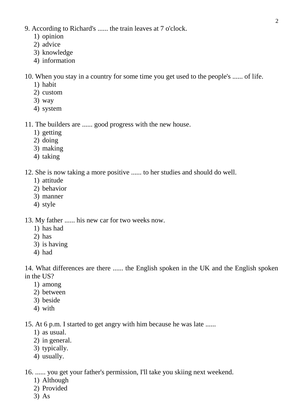- 9. According to Richard's ...... the train leaves at 7 o'clock.
	- 1) opinion
	- 2) advice
	- 3) knowledge
	- 4) information

10. When you stay in a country for some time you get used to the people's ...... of life.

- 1) habit
- 2) custom
- 3) way
- 4) system

11. The builders are ...... good progress with the new house.

- 1) getting
- 2) doing
- 3) making
- 4) taking

12. She is now taking a more positive ...... to her studies and should do well.

- 1) attitude
- 2) behavior
- 3) manner
- 4) style

13. My father ...... his new car for two weeks now.

- 1) has had
- 2) has
- 3) is having
- 4) had

14. What differences are there ...... the English spoken in the UK and the English spoken in the US?

- 1) among
- 2) between
- 3) beside
- 4) with

15. At 6 p.m. I started to get angry with him because he was late ......

- 1) as usual.
- 2) in general.
- 3) typically.
- 4) usually.

16. ...... you get your father's permission, I'll take you skiing next weekend.

- 1) Although
- 2) Provided
- 3) As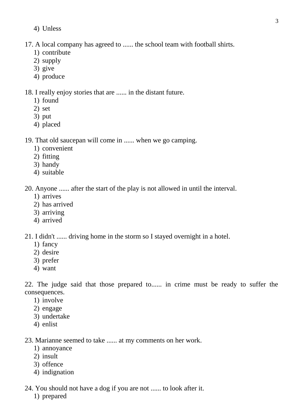4) Unless

## 17. A local company has agreed to ...... the school team with football shirts.

- 1) contribute
- 2) supply
- 3) give
- 4) produce

18. I really enjoy stories that are ...... in the distant future.

- 1) found
- 2) set
- 3) put
- 4) placed

19. That old saucepan will come in ...... when we go camping.

- 1) convenient
- 2) fitting
- 3) handy
- 4) suitable

20. Anyone ...... after the start of the play is not allowed in until the interval.

- 1) arrives
- 2) has arrived
- 3) arriving
- 4) arrived

21. I didn't ...... driving home in the storm so I stayed overnight in a hotel.

- 1) fancy
- 2) desire
- 3) prefer
- 4) want

22. The judge said that those prepared to...... in crime must be ready to suffer the consequences.

- 1) involve
- 2) engage
- 3) undertake
- 4) enlist

23. Marianne seemed to take ...... at my comments on her work.

- 1) annoyance
- 2) insult
- 3) offence
- 4) indignation
- 24. You should not have a dog if you are not ...... to look after it.
	- 1) prepared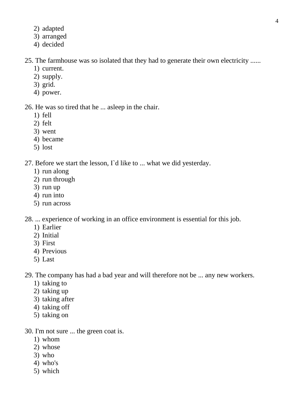- 2) adapted
- 3) arranged
- 4) decided

## 25. The farmhouse was so isolated that they had to generate their own electricity ......

- 1) current.
- 2) supply.
- 3) grid.
- 4) power.

### 26. He was so tired that he ... asleep in the chair.

- 1) fell
- 2) felt
- 3) went
- 4) became
- 5) lost

# 27. Before we start the lesson, I`d like to ... what we did yesterday.

- 1) run along
- 2) run through
- 3) run up
- 4) run into
- 5) run across

28. ... experience of working in an office environment is essential for this job.

- 1) Earlier
- 2) Initial
- 3) First
- 4) Previous
- 5) Last

29. The company has had a bad year and will therefore not be ... any new workers.

- 1) taking to
- 2) taking up
- 3) taking after
- 4) taking off
- 5) taking on

30. I'm not sure ... the green coat is.

- 1) whom
- 2) whose
- 3) who
- 4) who's
- 5) which